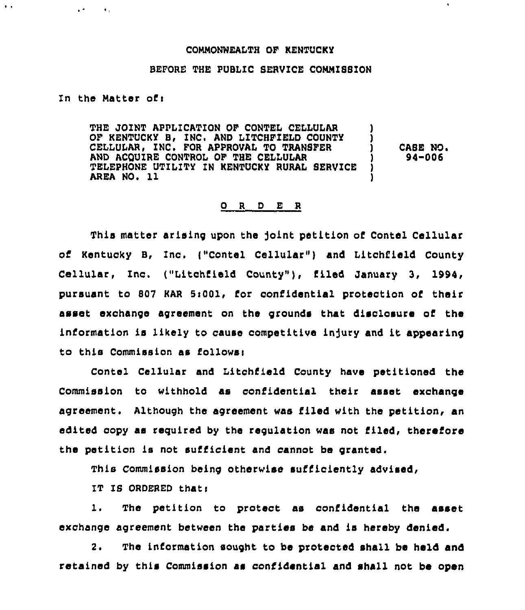## COMMONWEALTH OF KENTUCKY

 $\ddot{\phantom{a}}$ 

## BEFORE THE PUBLIC SERVICE COMMISSION

In the Matter of:

 $\mathbf{r} \in \mathbb{R}^{n \times n}$  , where

 $\ddot{\phantom{a}}$ 

THE JOINT APPLICATION OF CONTEL CELLULAR OF KENTUCKY B, INC. AND LITCHFIELD COUNTY Y CELLULAR, INC. FOR APPROVAL TO TRANSFER CASE NO. AND ACOUIRE CONTROL OF THE CELLULAR  $94 - 006$ TELEPHONE UTILITY IN KENTUCKY RURAL SERVICE AREA NO. 11

## ORDER

This matter arising upon the joint petition of Contel Cellular of Kentucky B, Inc. ("Contel Cellular") and Litchfield County Cellular, Inc. ("Litchfield County"), filed January 3, 1994, pursuant to 807 KAR 5:001, for confidential protection of their asset exchange agreement on the grounds that disclosure of the information is likely to cause competitive injury and it appearing to this Commission as follows:

Contel Cellular and Litchfield County have petitioned the Commission to withhold as confidential their asset exchange agreement. Although the agreement was filed with the petition, an edited copy as required by the requlation was not filed, therefore the petition is not sufficient and cannot be granted.

This Commission being otherwise sufficiently advised,

IT IS ORDERED that:

The petition to protect as confidential the asset  $\mathbf{1}$ . exchange agreement between the parties be and is hereby denied.

 $2.$ The information sought to be protected shall be held and retained by this Commission as confidential and shall not be open